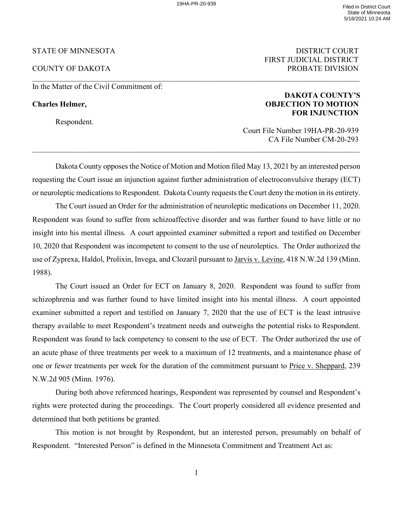$\_$ 

## STATE OF MINNESOTA DISTRICT COURT

In the Matter of the Civil Commitment of:

Respondent.

# FIRST JUDICIAL DISTRICT COUNTY OF DAKOTA PROBATE DIVISION

## **DAKOTA COUNTY'S Charles Helmer, OBJECTION TO MOTION FOR INJUNCTION**

 Court File Number 19HA-PR-20-939 CA File Number CM-20-293

Dakota County opposes the Notice of Motion and Motion filed May 13, 2021 by an interested person requesting the Court issue an injunction against further administration of electroconvulsive therapy (ECT) or neuroleptic medications to Respondent. Dakota County requests the Court deny the motion in its entirety.

 $\_$  , and the state of the state of the state of the state of the state of the state of the state of the state of the state of the state of the state of the state of the state of the state of the state of the state of the

The Court issued an Order for the administration of neuroleptic medications on December 11, 2020. Respondent was found to suffer from schizoaffective disorder and was further found to have little or no insight into his mental illness. A court appointed examiner submitted a report and testified on December 10, 2020 that Respondent was incompetent to consent to the use of neuroleptics. The Order authorized the use of Zyprexa, Haldol, Prolixin, Invega, and Clozaril pursuant to Jarvis v. Levine, 418 N.W.2d 139 (Minn. 1988).

The Court issued an Order for ECT on January 8, 2020. Respondent was found to suffer from schizophrenia and was further found to have limited insight into his mental illness. A court appointed examiner submitted a report and testified on January 7, 2020 that the use of ECT is the least intrusive therapy available to meet Respondent's treatment needs and outweighs the potential risks to Respondent. Respondent was found to lack competency to consent to the use of ECT. The Order authorized the use of an acute phase of three treatments per week to a maximum of 12 treatments, and a maintenance phase of one or fewer treatments per week for the duration of the commitment pursuant to Price v. Sheppard, 239 N.W.2d 905 (Minn. 1976).

During both above referenced hearings, Respondent was represented by counsel and Respondent's rights were protected during the proceedings. The Court properly considered all evidence presented and determined that both petitions be granted.

This motion is not brought by Respondent, but an interested person, presumably on behalf of Respondent. "Interested Person" is defined in the Minnesota Commitment and Treatment Act as:

1